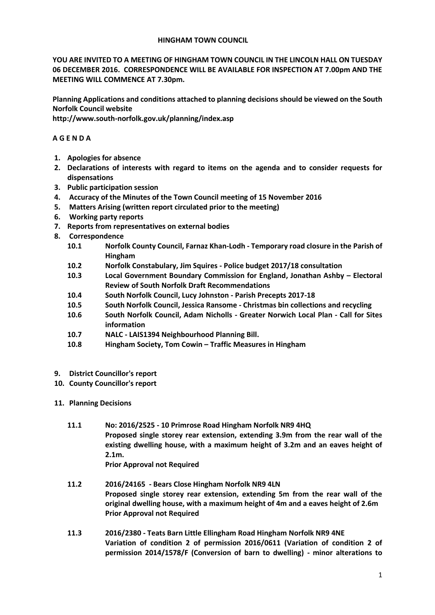## **HINGHAM TOWN COUNCIL**

**YOU ARE INVITED TO A MEETING OF HINGHAM TOWN COUNCIL IN THE LINCOLN HALL ON TUESDAY 06 DECEMBER 2016. CORRESPONDENCE WILL BE AVAILABLE FOR INSPECTION AT 7.00pm AND THE MEETING WILL COMMENCE AT 7.30pm.** 

**Planning Applications and conditions attached to planning decisions should be viewed on the South Norfolk Council website** 

**http://www.south-norfolk.gov.uk/planning/index.asp**

## **A G E N D A**

- **1. Apologies for absence**
- **2. Declarations of interests with regard to items on the agenda and to consider requests for dispensations**
- **3. Public participation session**
- **4. Accuracy of the Minutes of the Town Council meeting of 15 November 2016**
- **5. Matters Arising (written report circulated prior to the meeting)**
- **6. Working party reports**
- **7. Reports from representatives on external bodies**
- **8. Correspondence** 
	- **10.1 Norfolk County Council, Farnaz Khan-Lodh - Temporary road closure in the Parish of Hingham**
	- **10.2 Norfolk Constabulary, Jim Squires - Police budget 2017/18 consultation**
	- **10.3 Local Government Boundary Commission for England, Jonathan Ashby – Electoral Review of South Norfolk Draft Recommendations**
	- **10.4 South Norfolk Council, Lucy Johnston - Parish Precepts 2017-18**
	- **10.5 South Norfolk Council, Jessica Ransome - Christmas bin collections and recycling**
	- **10.6 South Norfolk Council, Adam Nicholls - Greater Norwich Local Plan - Call for Sites information**
	- **10.7 NALC - LAIS1394 Neighbourhood Planning Bill.**
	- **10.8 Hingham Society, Tom Cowin – Traffic Measures in Hingham**
- **9. District Councillor's report**
- **10. County Councillor's report**
- **11. Planning Decisions**
	- **11.1 No: 2016/2525 - 10 Primrose Road Hingham Norfolk NR9 4HQ Proposed single storey rear extension, extending 3.9m from the rear wall of the existing dwelling house, with a maximum height of 3.2m and an eaves height of 2.1m. Prior Approval not Required**
	- **11.2 2016/24165 - Bears Close Hingham Norfolk NR9 4LN Proposed single storey rear extension, extending 5m from the rear wall of the original dwelling house, with a maximum height of 4m and a eaves height of 2.6m Prior Approval not Required**
	- **11.3 2016/2380 - Teats Barn Little Ellingham Road Hingham Norfolk NR9 4NE Variation of condition 2 of permission 2016/0611 (Variation of condition 2 of permission 2014/1578/F (Conversion of barn to dwelling) - minor alterations to**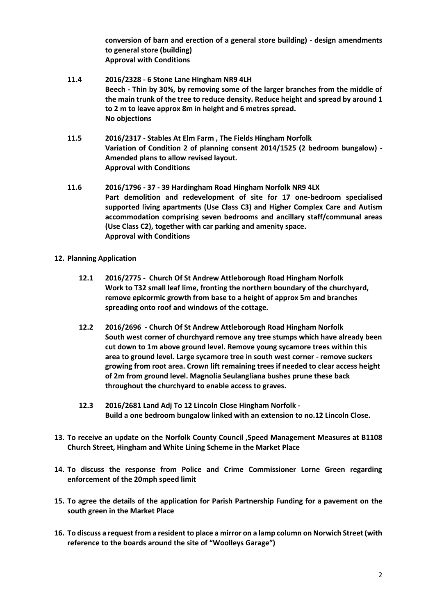**conversion of barn and erection of a general store building) - design amendments to general store (building) Approval with Conditions**

- **11.4 2016/2328 - 6 Stone Lane Hingham NR9 4LH Beech - Thin by 30%, by removing some of the larger branches from the middle of the main trunk of the tree to reduce density. Reduce height and spread by around 1 to 2 m to leave approx 8m in height and 6 metres spread. No objections**
- **11.5 2016/2317 - Stables At Elm Farm , The Fields Hingham Norfolk Variation of Condition 2 of planning consent 2014/1525 (2 bedroom bungalow) - Amended plans to allow revised layout. Approval with Conditions**
- **11.6 2016/1796 - 37 - 39 Hardingham Road Hingham Norfolk NR9 4LX Part demolition and redevelopment of site for 17 one-bedroom specialised supported living apartments (Use Class C3) and Higher Complex Care and Autism accommodation comprising seven bedrooms and ancillary staff/communal areas (Use Class C2), together with car parking and amenity space. Approval with Conditions**
- **12. Planning Application**
	- **12.1 2016/2775 Church Of St Andrew Attleborough Road Hingham Norfolk Work to T32 small leaf lime, fronting the northern boundary of the churchyard, remove epicormic growth from base to a height of approx 5m and branches spreading onto roof and windows of the cottage.**
	- **12.2 2016/2696 - Church Of St Andrew Attleborough Road Hingham Norfolk South west corner of churchyard remove any tree stumps which have already been cut down to 1m above ground level. Remove young sycamore trees within this area to ground level. Large sycamore tree in south west corner - remove suckers growing from root area. Crown lift remaining trees if needed to clear access height of 2m from ground level. Magnolia Seulangliana bushes prune these back throughout the churchyard to enable access to graves.**
	- **12.3 2016/2681 Land Adj To 12 Lincoln Close Hingham Norfolk Build a one bedroom bungalow linked with an extension to no.12 Lincoln Close.**
- **13. To receive an update on the Norfolk County Council ,Speed Management Measures at B1108 Church Street, Hingham and White Lining Scheme in the Market Place**
- **14. To discuss the response from Police and Crime Commissioner Lorne Green regarding enforcement of the 20mph speed limit**
- **15. To agree the details of the application for Parish Partnership Funding for a pavement on the south green in the Market Place**
- **16. To discuss a request from a resident to place a mirror on a lamp column on Norwich Street (with reference to the boards around the site of "Woolleys Garage")**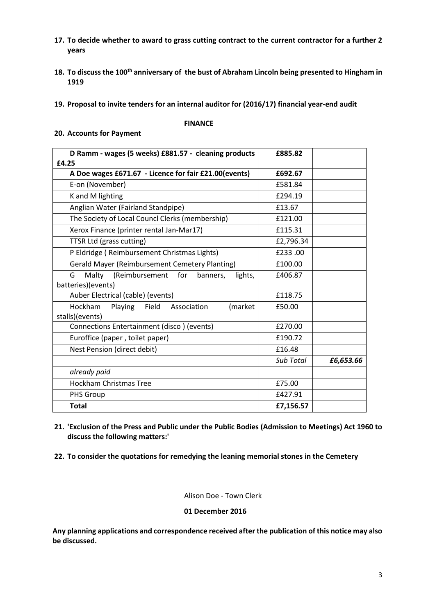- **17. To decide whether to award to grass cutting contract to the current contractor for a further 2 years**
- **18. To discuss the 100th anniversary of the bust of Abraham Lincoln being presented to Hingham in 1919**
- **19. Proposal to invite tenders for an internal auditor for (2016/17) financial year-end audit**

#### **FINANCE**

## **20. Accounts for Payment**

| D Ramm - wages (5 weeks) £881.57 - cleaning products<br>£4.25            | £885.82   |           |
|--------------------------------------------------------------------------|-----------|-----------|
| A Doe wages £671.67 - Licence for fair £21.00(events)                    | £692.67   |           |
| E-on (November)                                                          | £581.84   |           |
| K and M lighting                                                         | £294.19   |           |
| Anglian Water (Fairland Standpipe)                                       | £13.67    |           |
| The Society of Local Councl Clerks (membership)                          | £121.00   |           |
| Xerox Finance (printer rental Jan-Mar17)                                 | £115.31   |           |
| TTSR Ltd (grass cutting)                                                 | £2,796.34 |           |
| P Eldridge (Reimbursement Christmas Lights)                              | £233.00   |           |
| <b>Gerald Mayer (Reimbursement Cemetery Planting)</b>                    | £100.00   |           |
| (Reimbursement<br>for<br>G<br>Malty<br>banners,<br>lights,               | £406.87   |           |
| batteries)(events)                                                       |           |           |
| Auber Electrical (cable) (events)                                        | £118.75   |           |
| Hockham<br>Playing<br>Field<br>Association<br>(market<br>stalls)(events) | £50.00    |           |
| Connections Entertainment (disco) (events)                               | £270.00   |           |
| Euroffice (paper, toilet paper)                                          | £190.72   |           |
| Nest Pension (direct debit)                                              | £16.48    |           |
|                                                                          | Sub Total | £6,653.66 |
| already paid                                                             |           |           |
| <b>Hockham Christmas Tree</b>                                            | £75.00    |           |
| PHS Group                                                                | £427.91   |           |
| <b>Total</b>                                                             | £7,156.57 |           |

- **21. 'Exclusion of the Press and Public under the Public Bodies (Admission to Meetings) Act 1960 to discuss the following matters:'**
- **22. To consider the quotations for remedying the leaning memorial stones in the Cemetery**

Alison Doe - Town Clerk

**01 December 2016**

**Any planning applications and correspondence received after the publication of this notice may also be discussed.**